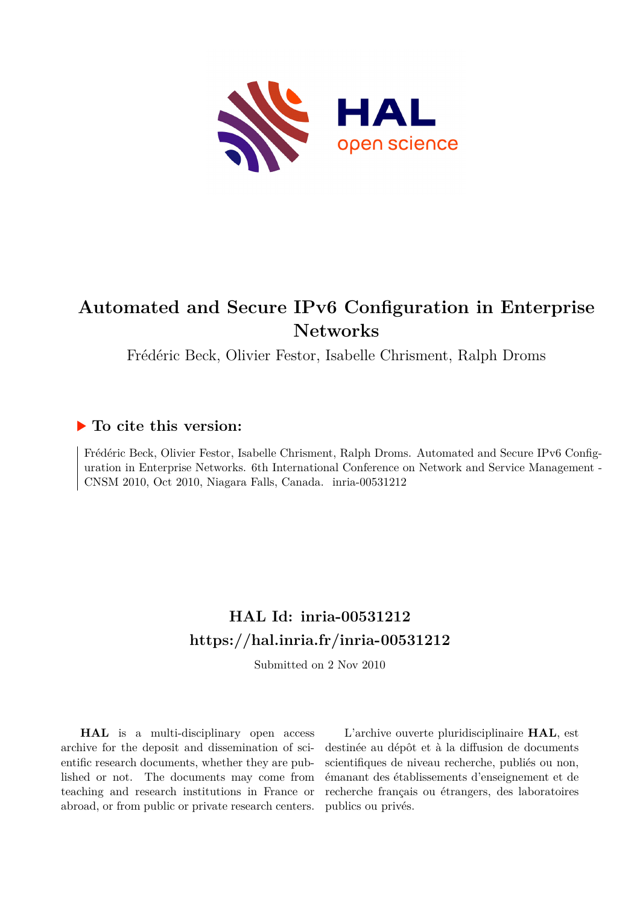

## **Automated and Secure IPv6 Configuration in Enterprise Networks**

Frédéric Beck, Olivier Festor, Isabelle Chrisment, Ralph Droms

### **To cite this version:**

Frédéric Beck, Olivier Festor, Isabelle Chrisment, Ralph Droms. Automated and Secure IPv6 Configuration in Enterprise Networks. 6th International Conference on Network and Service Management - CNSM 2010, Oct 2010, Niagara Falls, Canada. inria-00531212

## **HAL Id: inria-00531212 <https://hal.inria.fr/inria-00531212>**

Submitted on 2 Nov 2010

**HAL** is a multi-disciplinary open access archive for the deposit and dissemination of scientific research documents, whether they are published or not. The documents may come from teaching and research institutions in France or abroad, or from public or private research centers.

L'archive ouverte pluridisciplinaire **HAL**, est destinée au dépôt et à la diffusion de documents scientifiques de niveau recherche, publiés ou non, émanant des établissements d'enseignement et de recherche français ou étrangers, des laboratoires publics ou privés.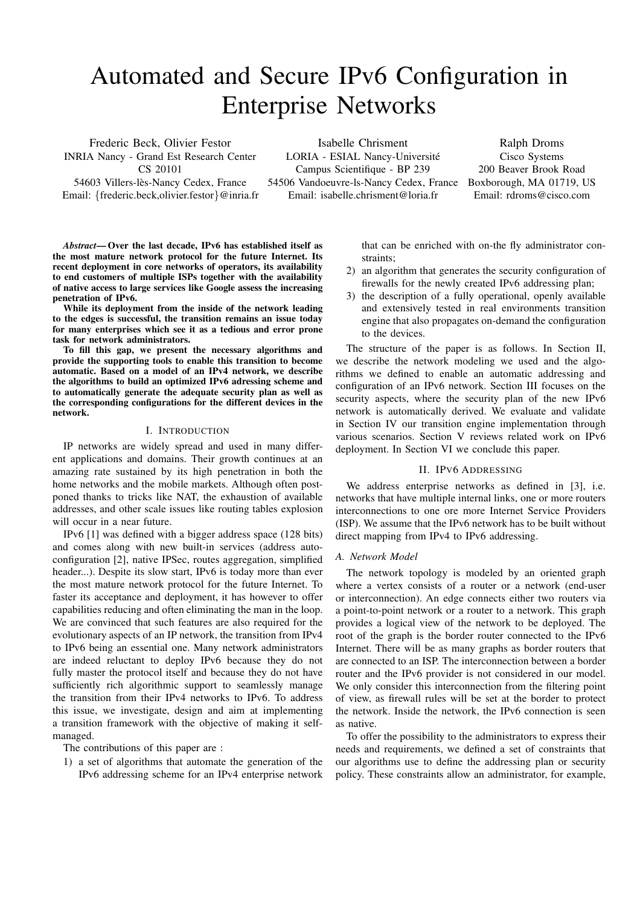# Automated and Secure IPv6 Configuration in Enterprise Networks

Frederic Beck, Olivier Festor INRIA Nancy - Grand Est Research Center CS 20101

54603 Villers-lès-Nancy Cedex, France Email: {frederic.beck,olivier.festor}@inria.fr

Isabelle Chrisment LORIA - ESIAL Nancy-Université Campus Scientifique - BP 239 54506 Vandoeuvre-ls-Nancy Cedex, France Email: isabelle.chrisment@loria.fr

Ralph Droms Cisco Systems 200 Beaver Brook Road Boxborough, MA 01719, US Email: rdroms@cisco.com

*Abstract*— Over the last decade, IPv6 has established itself as the most mature network protocol for the future Internet. Its recent deployment in core networks of operators, its availability to end customers of multiple ISPs together with the availability of native access to large services like Google assess the increasing penetration of IPv6.

While its deployment from the inside of the network leading to the edges is successful, the transition remains an issue today for many enterprises which see it as a tedious and error prone task for network administrators.

To fill this gap, we present the necessary algorithms and provide the supporting tools to enable this transition to become automatic. Based on a model of an IPv4 network, we describe the algorithms to build an optimized IPv6 adressing scheme and to automatically generate the adequate security plan as well as the corresponding configurations for the different devices in the network.

#### I. INTRODUCTION

IP networks are widely spread and used in many different applications and domains. Their growth continues at an amazing rate sustained by its high penetration in both the home networks and the mobile markets. Although often postponed thanks to tricks like NAT, the exhaustion of available addresses, and other scale issues like routing tables explosion will occur in a near future.

IPv6 [1] was defined with a bigger address space (128 bits) and comes along with new built-in services (address autoconfiguration [2], native IPSec, routes aggregation, simplified header...). Despite its slow start, IPv6 is today more than ever the most mature network protocol for the future Internet. To faster its acceptance and deployment, it has however to offer capabilities reducing and often eliminating the man in the loop. We are convinced that such features are also required for the evolutionary aspects of an IP network, the transition from IPv4 to IPv6 being an essential one. Many network administrators are indeed reluctant to deploy IPv6 because they do not fully master the protocol itself and because they do not have sufficiently rich algorithmic support to seamlessly manage the transition from their IPv4 networks to IPv6. To address this issue, we investigate, design and aim at implementing a transition framework with the objective of making it selfmanaged.

The contributions of this paper are :

1) a set of algorithms that automate the generation of the IPv6 addressing scheme for an IPv4 enterprise network that can be enriched with on-the fly administrator constraints;

- 2) an algorithm that generates the security configuration of firewalls for the newly created IPv6 addressing plan;
- 3) the description of a fully operational, openly available and extensively tested in real environments transition engine that also propagates on-demand the configuration to the devices.

The structure of the paper is as follows. In Section II, we describe the network modeling we used and the algorithms we defined to enable an automatic addressing and configuration of an IPv6 network. Section III focuses on the security aspects, where the security plan of the new IPv6 network is automatically derived. We evaluate and validate in Section IV our transition engine implementation through various scenarios. Section V reviews related work on IPv6 deployment. In Section VI we conclude this paper.

#### II. IPV6 ADDRESSING

We address enterprise networks as defined in [3], i.e. networks that have multiple internal links, one or more routers interconnections to one ore more Internet Service Providers (ISP). We assume that the IPv6 network has to be built without direct mapping from IPv4 to IPv6 addressing.

#### *A. Network Model*

The network topology is modeled by an oriented graph where a vertex consists of a router or a network (end-user or interconnection). An edge connects either two routers via a point-to-point network or a router to a network. This graph provides a logical view of the network to be deployed. The root of the graph is the border router connected to the IPv6 Internet. There will be as many graphs as border routers that are connected to an ISP. The interconnection between a border router and the IPv6 provider is not considered in our model. We only consider this interconnection from the filtering point of view, as firewall rules will be set at the border to protect the network. Inside the network, the IPv6 connection is seen as native.

To offer the possibility to the administrators to express their needs and requirements, we defined a set of constraints that our algorithms use to define the addressing plan or security policy. These constraints allow an administrator, for example,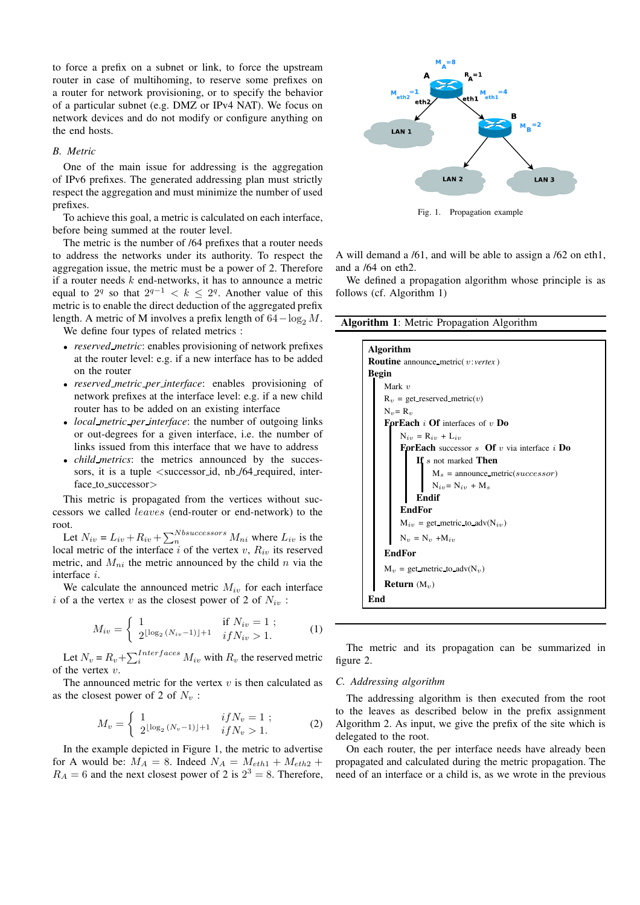to force a prefix on a subnet or link, to force the upstream router in case of multihoming, to reserve some prefixes on a router for network provisioning, or to specify the behavior of a particular subnet (e.g. DMZ or IPv4 NAT). We focus on network devices and do not modify or configure anything on the end hosts.

#### *B. Metric*

One of the main issue for addressing is the aggregation of IPv6 prefixes. The generated addressing plan must strictly respect the aggregation and must minimize the number of used prefixes.

To achieve this goal, a metric is calculated on each interface, before being summed at the router level.

The metric is the number of /64 prefixes that a router needs to address the networks under its authority. To respect the aggregation issue, the metric must be a power of 2. Therefore if a router needs  $k$  end-networks, it has to announce a metric equal to  $2^q$  so that  $2^{q-1} < k \leq 2^q$ . Another value of this metric is to enable the direct deduction of the aggregated prefix length. A metric of M involves a prefix length of  $64-\log_2 M$ .

We define four types of related metrics :

- *reserved metric*: enables provisioning of network prefixes at the router level: e.g. if a new interface has to be added on the router
- *reserved metric per interface*: enables provisioning of network prefixes at the interface level: e.g. if a new child router has to be added on an existing interface
- *local metric per interface*: the number of outgoing links or out-degrees for a given interface, i.e. the number of links issued from this interface that we have to address
- *child metrics*: the metrics announced by the successors, it is a tuple <successor id, nb /64 required, interface to successor>

This metric is propagated from the vertices without successors we called leaves (end-router or end-network) to the root.

Let  $N_{iv} = L_{iv} + R_{iv} + \sum_{n}^{Nbsuccessors} M_{ni}$  where  $L_{iv}$  is the local metric of the interface i of the vertex v,  $R_{iv}$  its reserved metric, and  $M_{ni}$  the metric announced by the child n via the interface i.

We calculate the announced metric  $M_{iv}$  for each interface i of a the vertex v as the closest power of 2 of  $N_{iv}$ :

$$
M_{iv} = \begin{cases} 1 & \text{if } N_{iv} = 1 ; \\ 2^{\lfloor \log_2 (N_{iv} - 1) \rfloor + 1} & i f N_{iv} > 1. \end{cases}
$$
 (1)

Let  $N_v = R_v + \sum_{i}^{Interfaces} M_{iv}$  with  $R_v$  the reserved metric of the vertex  $v$ .

The announced metric for the vertex  $v$  is then calculated as as the closest power of 2 of  $N_v$ :

$$
M_v = \begin{cases} 1 & if N_v = 1 ;\\ 2^{\lfloor \log_2 (N_v - 1) \rfloor + 1} & if N_v > 1. \end{cases}
$$
 (2)

In the example depicted in Figure 1, the metric to advertise for A would be:  $M_A = 8$ . Indeed  $N_A = M_{\epsilon th1} + M_{\epsilon th2} +$  $R_A = 6$  and the next closest power of 2 is  $2^3 = 8$ . Therefore,



Fig. 1. Propagation example

A will demand a /61, and will be able to assign a /62 on eth1, and a /64 on eth2.

We defined a propagation algorithm whose principle is as follows (cf. Algorithm 1)

Algorithm 1: Metric Propagation Algorithm

| <b>Algorithm</b><br><b>Routine</b> announce metric(v:vertex)<br><b>Begin</b><br>Mark $v$<br>$R_v$ = get reserved metric(v)<br>$N_{\eta} = R_{\eta}$<br><b>ForEach</b> i Of interfaces of v Do<br>$N_{i_{1}} = R_{i_{1}} + L_{i_{2}}$<br><b>ForEach</b> successor s <b>Of</b> v via interface i <b>Do</b><br>If s not marked Then<br>$M_s$ = announce metric(successor)<br>$N_{iv} = N_{iv} + M_s$<br>Endif<br><b>EndFor</b><br>$M_{iv}$ = get metric to adv( $N_{iv}$ )<br>$N_v = N_v + M_{in}$ |  |
|-------------------------------------------------------------------------------------------------------------------------------------------------------------------------------------------------------------------------------------------------------------------------------------------------------------------------------------------------------------------------------------------------------------------------------------------------------------------------------------------------|--|
|                                                                                                                                                                                                                                                                                                                                                                                                                                                                                                 |  |
|                                                                                                                                                                                                                                                                                                                                                                                                                                                                                                 |  |
|                                                                                                                                                                                                                                                                                                                                                                                                                                                                                                 |  |
|                                                                                                                                                                                                                                                                                                                                                                                                                                                                                                 |  |
|                                                                                                                                                                                                                                                                                                                                                                                                                                                                                                 |  |
|                                                                                                                                                                                                                                                                                                                                                                                                                                                                                                 |  |
|                                                                                                                                                                                                                                                                                                                                                                                                                                                                                                 |  |
|                                                                                                                                                                                                                                                                                                                                                                                                                                                                                                 |  |
|                                                                                                                                                                                                                                                                                                                                                                                                                                                                                                 |  |
|                                                                                                                                                                                                                                                                                                                                                                                                                                                                                                 |  |
|                                                                                                                                                                                                                                                                                                                                                                                                                                                                                                 |  |
|                                                                                                                                                                                                                                                                                                                                                                                                                                                                                                 |  |
|                                                                                                                                                                                                                                                                                                                                                                                                                                                                                                 |  |
|                                                                                                                                                                                                                                                                                                                                                                                                                                                                                                 |  |
|                                                                                                                                                                                                                                                                                                                                                                                                                                                                                                 |  |
|                                                                                                                                                                                                                                                                                                                                                                                                                                                                                                 |  |
| <b>EndFor</b>                                                                                                                                                                                                                                                                                                                                                                                                                                                                                   |  |
| $M_v = get$ metric to adv( $N_v$ )                                                                                                                                                                                                                                                                                                                                                                                                                                                              |  |
| <b>Return</b> $(M_v)$                                                                                                                                                                                                                                                                                                                                                                                                                                                                           |  |
| End                                                                                                                                                                                                                                                                                                                                                                                                                                                                                             |  |

The metric and its propagation can be summarized in figure 2.

#### *C. Addressing algorithm*

The addressing algorithm is then executed from the root to the leaves as described below in the prefix assignment Algorithm 2. As input, we give the prefix of the site which is delegated to the root.

On each router, the per interface needs have already been propagated and calculated during the metric propagation. The need of an interface or a child is, as we wrote in the previous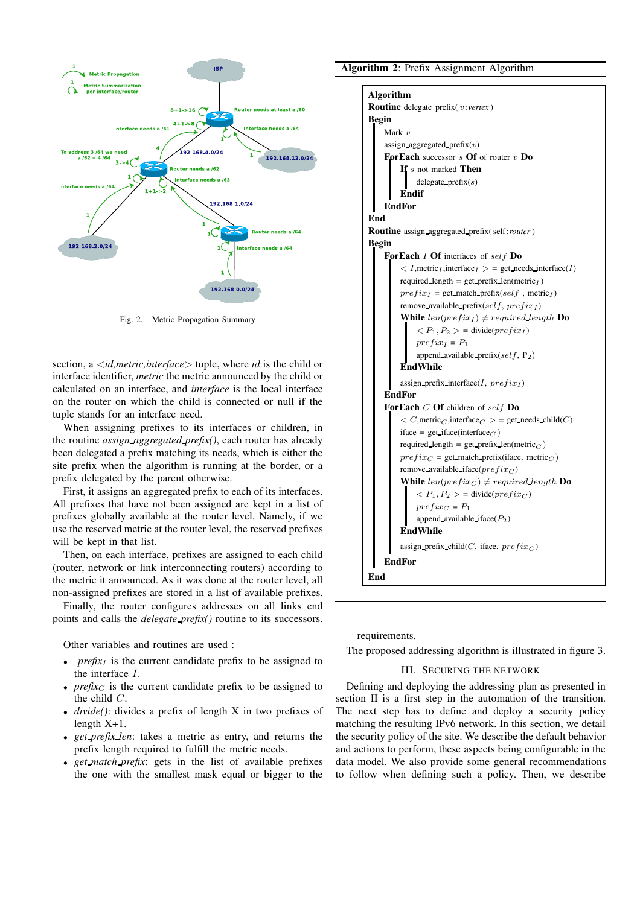

Fig. 2. Metric Propagation Summary

section, a <*id,metric,interface*> tuple, where *id* is the child or interface identifier, *metric* the metric announced by the child or calculated on an interface, and *interface* is the local interface on the router on which the child is connected or null if the tuple stands for an interface need.

When assigning prefixes to its interfaces or children, in the routine *assign aggregated prefix()*, each router has already been delegated a prefix matching its needs, which is either the site prefix when the algorithm is running at the border, or a prefix delegated by the parent otherwise.

First, it assigns an aggregated prefix to each of its interfaces. All prefixes that have not been assigned are kept in a list of prefixes globally available at the router level. Namely, if we use the reserved metric at the router level, the reserved prefixes will be kept in that list.

Then, on each interface, prefixes are assigned to each child (router, network or link interconnecting routers) according to the metric it announced. As it was done at the router level, all non-assigned prefixes are stored in a list of available prefixes.

Finally, the router configures addresses on all links end points and calls the *delegate prefix()* routine to its successors.

Other variables and routines are used :

- *prefix<sub>I</sub>* is the current candidate prefix to be assigned to the interface I.
- $prefix_C$  is the current candidate prefix to be assigned to the child C.
- *divide()*: divides a prefix of length X in two prefixes of length X+1.
- *get prefix len*: takes a metric as entry, and returns the prefix length required to fulfill the metric needs.
- *get match prefix*: gets in the list of available prefixes the one with the smallest mask equal or bigger to the

#### Algorithm 2: Prefix Assignment Algorithm

| <b>Routine</b> delegate prefix( $v:vertex$ )<br><b>Begin</b><br>Mark $v$<br>assign aggregated prefix $(v)$<br><b>ForEach</b> successor $s$ <b>Of</b> of router $v$ <b>Do</b><br>If s not marked Then<br>delegate $prefix(s)$<br>Endif<br><b>EndFor</b><br>End<br><b>Routine</b> assign_aggregated_prefix(self:router)<br><b>Begin</b><br><b>ForEach 1 Of</b> interfaces of self Do<br>$\langle I,$ metric <sub>I</sub> , interface <sub>I</sub> $\rangle$ = get needs interface(I)<br>required_length = get_prefix_len(metric <sub>I</sub> )<br>$prefix_I = get\_match\_prefix(self, metric_I)$<br>remove available prefix(self, $prefix_I)$<br>While $len(prefix_I) \ne required\ length$ Do<br>$\langle P_1, P_2 \rangle$ = divide( <i>prefix<sub>1</sub></i> )<br>$prefix_I = P_1$<br>append_available_prefix(self, $P_2$ )<br>EndWhile<br>assign prefix interface(I, $prefix_I$ )<br>EndFor<br><b>ForEach</b> $C$ Of children of self Do<br>$\langle C, \text{metric}_C, \text{interface}_C \rangle$ = get needs child(C)<br>iface = get_iface(interface <sub>C</sub> )<br>required_length = get_prefix_len(metric $_C$ )<br>$prefix_C = get$ match prefix(iface, metric <sub>C</sub> )<br>remove available iface( $prefix_C$ )<br>While $len(prefix_C) \ne required$ length Do<br>$\langle P_1, P_2 \rangle$ = divide( <i>prefixc</i> ) | Algorithm        |
|----------------------------------------------------------------------------------------------------------------------------------------------------------------------------------------------------------------------------------------------------------------------------------------------------------------------------------------------------------------------------------------------------------------------------------------------------------------------------------------------------------------------------------------------------------------------------------------------------------------------------------------------------------------------------------------------------------------------------------------------------------------------------------------------------------------------------------------------------------------------------------------------------------------------------------------------------------------------------------------------------------------------------------------------------------------------------------------------------------------------------------------------------------------------------------------------------------------------------------------------------------------------------------------------------------------------------------------------|------------------|
|                                                                                                                                                                                                                                                                                                                                                                                                                                                                                                                                                                                                                                                                                                                                                                                                                                                                                                                                                                                                                                                                                                                                                                                                                                                                                                                                              |                  |
|                                                                                                                                                                                                                                                                                                                                                                                                                                                                                                                                                                                                                                                                                                                                                                                                                                                                                                                                                                                                                                                                                                                                                                                                                                                                                                                                              |                  |
|                                                                                                                                                                                                                                                                                                                                                                                                                                                                                                                                                                                                                                                                                                                                                                                                                                                                                                                                                                                                                                                                                                                                                                                                                                                                                                                                              |                  |
|                                                                                                                                                                                                                                                                                                                                                                                                                                                                                                                                                                                                                                                                                                                                                                                                                                                                                                                                                                                                                                                                                                                                                                                                                                                                                                                                              |                  |
|                                                                                                                                                                                                                                                                                                                                                                                                                                                                                                                                                                                                                                                                                                                                                                                                                                                                                                                                                                                                                                                                                                                                                                                                                                                                                                                                              |                  |
|                                                                                                                                                                                                                                                                                                                                                                                                                                                                                                                                                                                                                                                                                                                                                                                                                                                                                                                                                                                                                                                                                                                                                                                                                                                                                                                                              |                  |
|                                                                                                                                                                                                                                                                                                                                                                                                                                                                                                                                                                                                                                                                                                                                                                                                                                                                                                                                                                                                                                                                                                                                                                                                                                                                                                                                              |                  |
|                                                                                                                                                                                                                                                                                                                                                                                                                                                                                                                                                                                                                                                                                                                                                                                                                                                                                                                                                                                                                                                                                                                                                                                                                                                                                                                                              |                  |
|                                                                                                                                                                                                                                                                                                                                                                                                                                                                                                                                                                                                                                                                                                                                                                                                                                                                                                                                                                                                                                                                                                                                                                                                                                                                                                                                              |                  |
|                                                                                                                                                                                                                                                                                                                                                                                                                                                                                                                                                                                                                                                                                                                                                                                                                                                                                                                                                                                                                                                                                                                                                                                                                                                                                                                                              |                  |
|                                                                                                                                                                                                                                                                                                                                                                                                                                                                                                                                                                                                                                                                                                                                                                                                                                                                                                                                                                                                                                                                                                                                                                                                                                                                                                                                              |                  |
|                                                                                                                                                                                                                                                                                                                                                                                                                                                                                                                                                                                                                                                                                                                                                                                                                                                                                                                                                                                                                                                                                                                                                                                                                                                                                                                                              |                  |
|                                                                                                                                                                                                                                                                                                                                                                                                                                                                                                                                                                                                                                                                                                                                                                                                                                                                                                                                                                                                                                                                                                                                                                                                                                                                                                                                              |                  |
|                                                                                                                                                                                                                                                                                                                                                                                                                                                                                                                                                                                                                                                                                                                                                                                                                                                                                                                                                                                                                                                                                                                                                                                                                                                                                                                                              |                  |
|                                                                                                                                                                                                                                                                                                                                                                                                                                                                                                                                                                                                                                                                                                                                                                                                                                                                                                                                                                                                                                                                                                                                                                                                                                                                                                                                              |                  |
|                                                                                                                                                                                                                                                                                                                                                                                                                                                                                                                                                                                                                                                                                                                                                                                                                                                                                                                                                                                                                                                                                                                                                                                                                                                                                                                                              |                  |
|                                                                                                                                                                                                                                                                                                                                                                                                                                                                                                                                                                                                                                                                                                                                                                                                                                                                                                                                                                                                                                                                                                                                                                                                                                                                                                                                              |                  |
|                                                                                                                                                                                                                                                                                                                                                                                                                                                                                                                                                                                                                                                                                                                                                                                                                                                                                                                                                                                                                                                                                                                                                                                                                                                                                                                                              |                  |
|                                                                                                                                                                                                                                                                                                                                                                                                                                                                                                                                                                                                                                                                                                                                                                                                                                                                                                                                                                                                                                                                                                                                                                                                                                                                                                                                              |                  |
|                                                                                                                                                                                                                                                                                                                                                                                                                                                                                                                                                                                                                                                                                                                                                                                                                                                                                                                                                                                                                                                                                                                                                                                                                                                                                                                                              |                  |
|                                                                                                                                                                                                                                                                                                                                                                                                                                                                                                                                                                                                                                                                                                                                                                                                                                                                                                                                                                                                                                                                                                                                                                                                                                                                                                                                              |                  |
|                                                                                                                                                                                                                                                                                                                                                                                                                                                                                                                                                                                                                                                                                                                                                                                                                                                                                                                                                                                                                                                                                                                                                                                                                                                                                                                                              |                  |
|                                                                                                                                                                                                                                                                                                                                                                                                                                                                                                                                                                                                                                                                                                                                                                                                                                                                                                                                                                                                                                                                                                                                                                                                                                                                                                                                              |                  |
|                                                                                                                                                                                                                                                                                                                                                                                                                                                                                                                                                                                                                                                                                                                                                                                                                                                                                                                                                                                                                                                                                                                                                                                                                                                                                                                                              |                  |
|                                                                                                                                                                                                                                                                                                                                                                                                                                                                                                                                                                                                                                                                                                                                                                                                                                                                                                                                                                                                                                                                                                                                                                                                                                                                                                                                              |                  |
|                                                                                                                                                                                                                                                                                                                                                                                                                                                                                                                                                                                                                                                                                                                                                                                                                                                                                                                                                                                                                                                                                                                                                                                                                                                                                                                                              |                  |
|                                                                                                                                                                                                                                                                                                                                                                                                                                                                                                                                                                                                                                                                                                                                                                                                                                                                                                                                                                                                                                                                                                                                                                                                                                                                                                                                              |                  |
|                                                                                                                                                                                                                                                                                                                                                                                                                                                                                                                                                                                                                                                                                                                                                                                                                                                                                                                                                                                                                                                                                                                                                                                                                                                                                                                                              |                  |
|                                                                                                                                                                                                                                                                                                                                                                                                                                                                                                                                                                                                                                                                                                                                                                                                                                                                                                                                                                                                                                                                                                                                                                                                                                                                                                                                              |                  |
|                                                                                                                                                                                                                                                                                                                                                                                                                                                                                                                                                                                                                                                                                                                                                                                                                                                                                                                                                                                                                                                                                                                                                                                                                                                                                                                                              |                  |
|                                                                                                                                                                                                                                                                                                                                                                                                                                                                                                                                                                                                                                                                                                                                                                                                                                                                                                                                                                                                                                                                                                                                                                                                                                                                                                                                              |                  |
|                                                                                                                                                                                                                                                                                                                                                                                                                                                                                                                                                                                                                                                                                                                                                                                                                                                                                                                                                                                                                                                                                                                                                                                                                                                                                                                                              |                  |
|                                                                                                                                                                                                                                                                                                                                                                                                                                                                                                                                                                                                                                                                                                                                                                                                                                                                                                                                                                                                                                                                                                                                                                                                                                                                                                                                              | $prefix_C = P_1$ |
| append_available_iface $(P_2)$                                                                                                                                                                                                                                                                                                                                                                                                                                                                                                                                                                                                                                                                                                                                                                                                                                                                                                                                                                                                                                                                                                                                                                                                                                                                                                               |                  |
| <b>EndWhile</b>                                                                                                                                                                                                                                                                                                                                                                                                                                                                                                                                                                                                                                                                                                                                                                                                                                                                                                                                                                                                                                                                                                                                                                                                                                                                                                                              |                  |
| assign_prefix_child(C, iface, $prefix_C$ )                                                                                                                                                                                                                                                                                                                                                                                                                                                                                                                                                                                                                                                                                                                                                                                                                                                                                                                                                                                                                                                                                                                                                                                                                                                                                                   |                  |
| <b>EndFor</b>                                                                                                                                                                                                                                                                                                                                                                                                                                                                                                                                                                                                                                                                                                                                                                                                                                                                                                                                                                                                                                                                                                                                                                                                                                                                                                                                |                  |
|                                                                                                                                                                                                                                                                                                                                                                                                                                                                                                                                                                                                                                                                                                                                                                                                                                                                                                                                                                                                                                                                                                                                                                                                                                                                                                                                              |                  |
| End                                                                                                                                                                                                                                                                                                                                                                                                                                                                                                                                                                                                                                                                                                                                                                                                                                                                                                                                                                                                                                                                                                                                                                                                                                                                                                                                          |                  |

requirements.

The proposed addressing algorithm is illustrated in figure 3.

#### III. SECURING THE NETWORK

Defining and deploying the addressing plan as presented in section II is a first step in the automation of the transition. The next step has to define and deploy a security policy matching the resulting IPv6 network. In this section, we detail the security policy of the site. We describe the default behavior and actions to perform, these aspects being configurable in the data model. We also provide some general recommendations to follow when defining such a policy. Then, we describe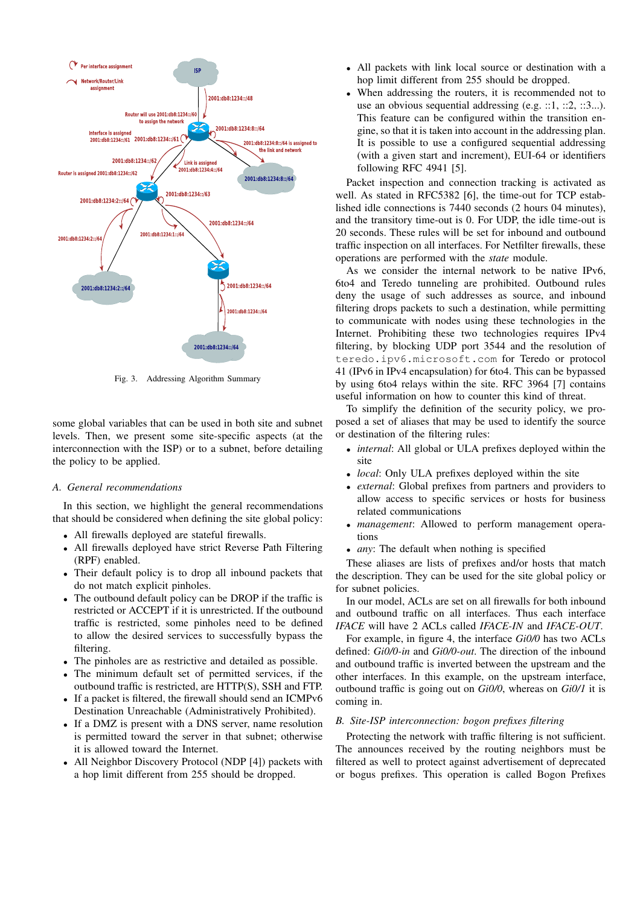

Fig. 3. Addressing Algorithm Summary

some global variables that can be used in both site and subnet levels. Then, we present some site-specific aspects (at the interconnection with the ISP) or to a subnet, before detailing the policy to be applied.

#### *A. General recommendations*

In this section, we highlight the general recommendations that should be considered when defining the site global policy:

- All firewalls deployed are stateful firewalls.
- All firewalls deployed have strict Reverse Path Filtering (RPF) enabled.
- Their default policy is to drop all inbound packets that do not match explicit pinholes.
- The outbound default policy can be DROP if the traffic is restricted or ACCEPT if it is unrestricted. If the outbound traffic is restricted, some pinholes need to be defined to allow the desired services to successfully bypass the filtering.
- The pinholes are as restrictive and detailed as possible.
- The minimum default set of permitted services, if the outbound traffic is restricted, are HTTP(S), SSH and FTP.
- If a packet is filtered, the firewall should send an ICMPv6 Destination Unreachable (Administratively Prohibited).
- If a DMZ is present with a DNS server, name resolution is permitted toward the server in that subnet; otherwise it is allowed toward the Internet.
- All Neighbor Discovery Protocol (NDP [4]) packets with a hop limit different from 255 should be dropped.
- All packets with link local source or destination with a hop limit different from 255 should be dropped.
- When addressing the routers, it is recommended not to use an obvious sequential addressing  $(e.g. ::1, ::2, ::3...)$ . This feature can be configured within the transition engine, so that it is taken into account in the addressing plan. It is possible to use a configured sequential addressing (with a given start and increment), EUI-64 or identifiers following RFC 4941 [5].

Packet inspection and connection tracking is activated as well. As stated in RFC5382 [6], the time-out for TCP established idle connections is 7440 seconds (2 hours 04 minutes), and the transitory time-out is 0. For UDP, the idle time-out is 20 seconds. These rules will be set for inbound and outbound traffic inspection on all interfaces. For Netfilter firewalls, these operations are performed with the *state* module.

As we consider the internal network to be native IPv6, 6to4 and Teredo tunneling are prohibited. Outbound rules deny the usage of such addresses as source, and inbound filtering drops packets to such a destination, while permitting to communicate with nodes using these technologies in the Internet. Prohibiting these two technologies requires IPv4 filtering, by blocking UDP port 3544 and the resolution of teredo.ipv6.microsoft.com for Teredo or protocol 41 (IPv6 in IPv4 encapsulation) for 6to4. This can be bypassed by using 6to4 relays within the site. RFC 3964 [7] contains useful information on how to counter this kind of threat.

To simplify the definition of the security policy, we proposed a set of aliases that may be used to identify the source or destination of the filtering rules:

- *internal*: All global or ULA prefixes deployed within the site
- *local*: Only ULA prefixes deployed within the site
- *external*: Global prefixes from partners and providers to allow access to specific services or hosts for business related communications
- *management*: Allowed to perform management operations
- *any*: The default when nothing is specified

These aliases are lists of prefixes and/or hosts that match the description. They can be used for the site global policy or for subnet policies.

In our model, ACLs are set on all firewalls for both inbound and outbound traffic on all interfaces. Thus each interface *IFACE* will have 2 ACLs called *IFACE-IN* and *IFACE-OUT*.

For example, in figure 4, the interface *Gi0/0* has two ACLs defined: *Gi0/0-in* and *Gi0/0-out*. The direction of the inbound and outbound traffic is inverted between the upstream and the other interfaces. In this example, on the upstream interface, outbound traffic is going out on *Gi0/0*, whereas on *Gi0/1* it is coming in.

#### *B. Site-ISP interconnection: bogon prefixes filtering*

Protecting the network with traffic filtering is not sufficient. The announces received by the routing neighbors must be filtered as well to protect against advertisement of deprecated or bogus prefixes. This operation is called Bogon Prefixes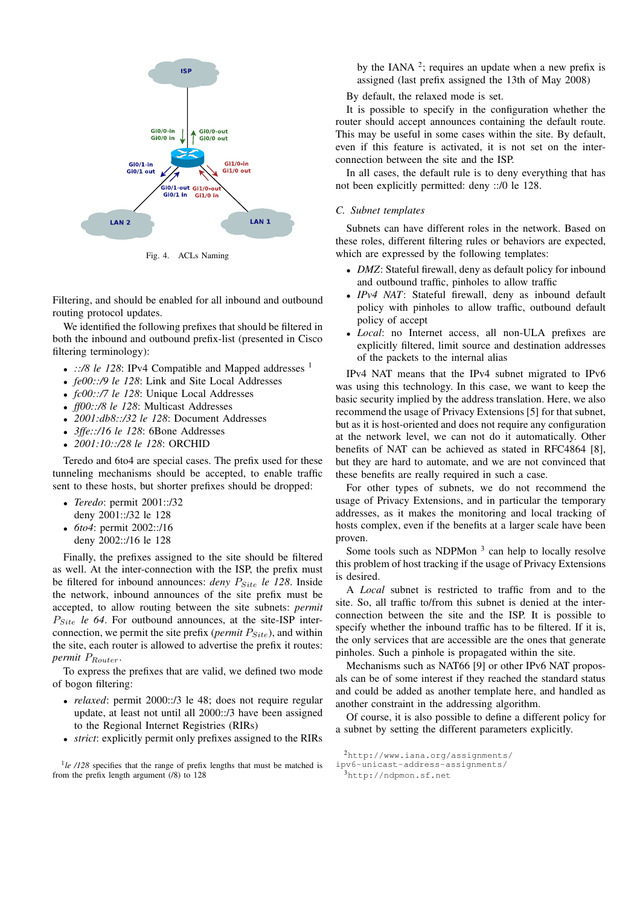

Fig. 4. ACLs Naming

Filtering, and should be enabled for all inbound and outbound routing protocol updates.

We identified the following prefixes that should be filtered in both the inbound and outbound prefix-list (presented in Cisco filtering terminology):

- $::/8$  le 128: IPv4 Compatible and Mapped addresses  $<sup>1</sup>$ </sup>
- *fe00::/9 le 128*: Link and Site Local Addresses
- *fc00::/7 le 128*: Unique Local Addresses
- *ff00::/8 le 128*: Multicast Addresses
- *2001:db8::/32 le 128*: Document Addresses
- *3ffe::/16 le 128*: 6Bone Addresses
- *2001:10::/28 le 128*: ORCHID

Teredo and 6to4 are special cases. The prefix used for these tunneling mechanisms should be accepted, to enable traffic sent to these hosts, but shorter prefixes should be dropped:

- *Teredo*: permit 2001::/32 deny 2001::/32 le 128
- *6to4*: permit 2002::/16 deny 2002::/16 le 128

Finally, the prefixes assigned to the site should be filtered as well. At the inter-connection with the ISP, the prefix must be filtered for inbound announces: *deny*  $P_{Site}$  le 128. Inside the network, inbound announces of the site prefix must be accepted, to allow routing between the site subnets: *permit*  $P_{Site}$  *le 64*. For outbound announces, at the site-ISP interconnection, we permit the site prefix (*permit*  $P_{Site}$ ), and within the site, each router is allowed to advertise the prefix it routes: *permit*  $P_{Router}$ .

To express the prefixes that are valid, we defined two mode of bogon filtering:

- *relaxed*: permit 2000::/3 le 48; does not require regular update, at least not until all 2000::/3 have been assigned to the Regional Internet Registries (RIRs)
- *strict*: explicitly permit only prefixes assigned to the RIRs

by the IANA  $2$ ; requires an update when a new prefix is assigned (last prefix assigned the 13th of May 2008)

By default, the relaxed mode is set.

It is possible to specify in the configuration whether the router should accept announces containing the default route. This may be useful in some cases within the site. By default, even if this feature is activated, it is not set on the interconnection between the site and the ISP.

In all cases, the default rule is to deny everything that has not been explicitly permitted: deny ::/0 le 128.

#### *C. Subnet templates*

Subnets can have different roles in the network. Based on these roles, different filtering rules or behaviors are expected, which are expressed by the following templates:

- *DMZ*: Stateful firewall, deny as default policy for inbound and outbound traffic, pinholes to allow traffic
- *IPv4 NAT*: Stateful firewall, deny as inbound default policy with pinholes to allow traffic, outbound default policy of accept
- *Local*: no Internet access, all non-ULA prefixes are explicitly filtered, limit source and destination addresses of the packets to the internal alias

IPv4 NAT means that the IPv4 subnet migrated to IPv6 was using this technology. In this case, we want to keep the basic security implied by the address translation. Here, we also recommend the usage of Privacy Extensions [5] for that subnet, but as it is host-oriented and does not require any configuration at the network level, we can not do it automatically. Other benefits of NAT can be achieved as stated in RFC4864 [8], but they are hard to automate, and we are not convinced that these benefits are really required in such a case.

For other types of subnets, we do not recommend the usage of Privacy Extensions, and in particular the temporary addresses, as it makes the monitoring and local tracking of hosts complex, even if the benefits at a larger scale have been proven.

Some tools such as NDPMon  $3$  can help to locally resolve this problem of host tracking if the usage of Privacy Extensions is desired.

A *Local* subnet is restricted to traffic from and to the site. So, all traffic to/from this subnet is denied at the interconnection between the site and the ISP. It is possible to specify whether the inbound traffic has to be filtered. If it is, the only services that are accessible are the ones that generate pinholes. Such a pinhole is propagated within the site.

Mechanisms such as NAT66 [9] or other IPv6 NAT proposals can be of some interest if they reached the standard status and could be added as another template here, and handled as another constraint in the addressing algorithm.

Of course, it is also possible to define a different policy for a subnet by setting the different parameters explicitly.

<sup>&</sup>lt;sup>1</sup>le /128 specifies that the range of prefix lengths that must be matched is from the prefix length argument (/8) to 128

 $^{2}$ http://www.iana.org/assignments/

ipv6-unicast-address-assignments/

<sup>3</sup>http://ndpmon.sf.net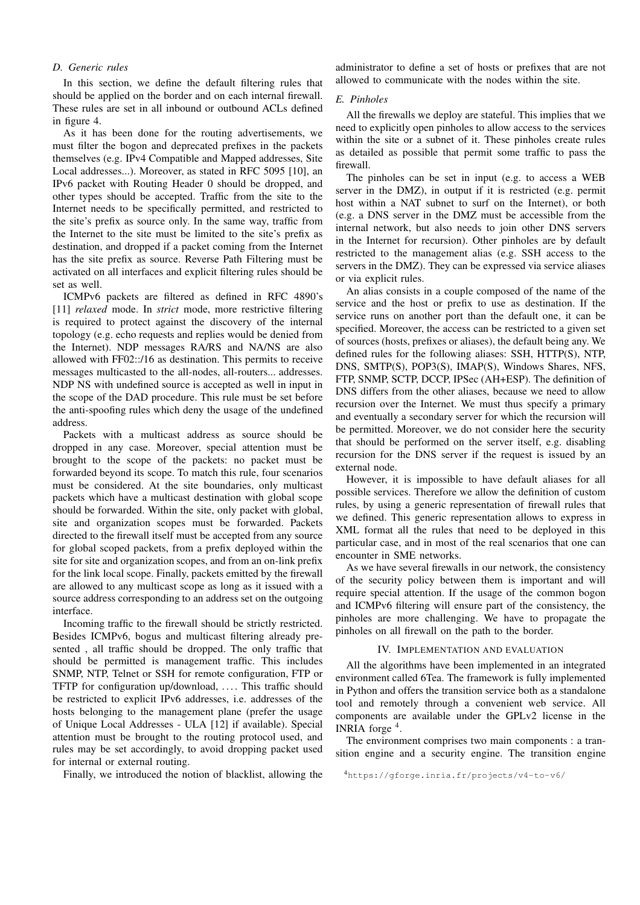#### *D. Generic rules*

In this section, we define the default filtering rules that should be applied on the border and on each internal firewall. These rules are set in all inbound or outbound ACLs defined in figure 4.

As it has been done for the routing advertisements, we must filter the bogon and deprecated prefixes in the packets themselves (e.g. IPv4 Compatible and Mapped addresses, Site Local addresses...). Moreover, as stated in RFC 5095 [10], an IPv6 packet with Routing Header 0 should be dropped, and other types should be accepted. Traffic from the site to the Internet needs to be specifically permitted, and restricted to the site's prefix as source only. In the same way, traffic from the Internet to the site must be limited to the site's prefix as destination, and dropped if a packet coming from the Internet has the site prefix as source. Reverse Path Filtering must be activated on all interfaces and explicit filtering rules should be set as well.

ICMPv6 packets are filtered as defined in RFC 4890's [11] *relaxed* mode. In *strict* mode, more restrictive filtering is required to protect against the discovery of the internal topology (e.g. echo requests and replies would be denied from the Internet). NDP messages RA/RS and NA/NS are also allowed with FF02::/16 as destination. This permits to receive messages multicasted to the all-nodes, all-routers... addresses. NDP NS with undefined source is accepted as well in input in the scope of the DAD procedure. This rule must be set before the anti-spoofing rules which deny the usage of the undefined address.

Packets with a multicast address as source should be dropped in any case. Moreover, special attention must be brought to the scope of the packets: no packet must be forwarded beyond its scope. To match this rule, four scenarios must be considered. At the site boundaries, only multicast packets which have a multicast destination with global scope should be forwarded. Within the site, only packet with global, site and organization scopes must be forwarded. Packets directed to the firewall itself must be accepted from any source for global scoped packets, from a prefix deployed within the site for site and organization scopes, and from an on-link prefix for the link local scope. Finally, packets emitted by the firewall are allowed to any multicast scope as long as it issued with a source address corresponding to an address set on the outgoing interface.

Incoming traffic to the firewall should be strictly restricted. Besides ICMPv6, bogus and multicast filtering already presented , all traffic should be dropped. The only traffic that should be permitted is management traffic. This includes SNMP, NTP, Telnet or SSH for remote configuration, FTP or TFTP for configuration up/download, .... This traffic should be restricted to explicit IPv6 addresses, i.e. addresses of the hosts belonging to the management plane (prefer the usage of Unique Local Addresses - ULA [12] if available). Special attention must be brought to the routing protocol used, and rules may be set accordingly, to avoid dropping packet used for internal or external routing.

Finally, we introduced the notion of blacklist, allowing the

administrator to define a set of hosts or prefixes that are not allowed to communicate with the nodes within the site.

#### *E. Pinholes*

All the firewalls we deploy are stateful. This implies that we need to explicitly open pinholes to allow access to the services within the site or a subnet of it. These pinholes create rules as detailed as possible that permit some traffic to pass the firewall.

The pinholes can be set in input (e.g. to access a WEB server in the DMZ), in output if it is restricted (e.g. permit host within a NAT subnet to surf on the Internet), or both (e.g. a DNS server in the DMZ must be accessible from the internal network, but also needs to join other DNS servers in the Internet for recursion). Other pinholes are by default restricted to the management alias (e.g. SSH access to the servers in the DMZ). They can be expressed via service aliases or via explicit rules.

An alias consists in a couple composed of the name of the service and the host or prefix to use as destination. If the service runs on another port than the default one, it can be specified. Moreover, the access can be restricted to a given set of sources (hosts, prefixes or aliases), the default being any. We defined rules for the following aliases: SSH, HTTP(S), NTP, DNS, SMTP(S), POP3(S), IMAP(S), Windows Shares, NFS, FTP, SNMP, SCTP, DCCP, IPSec (AH+ESP). The definition of DNS differs from the other aliases, because we need to allow recursion over the Internet. We must thus specify a primary and eventually a secondary server for which the recursion will be permitted. Moreover, we do not consider here the security that should be performed on the server itself, e.g. disabling recursion for the DNS server if the request is issued by an external node.

However, it is impossible to have default aliases for all possible services. Therefore we allow the definition of custom rules, by using a generic representation of firewall rules that we defined. This generic representation allows to express in XML format all the rules that need to be deployed in this particular case, and in most of the real scenarios that one can encounter in SME networks.

As we have several firewalls in our network, the consistency of the security policy between them is important and will require special attention. If the usage of the common bogon and ICMPv6 filtering will ensure part of the consistency, the pinholes are more challenging. We have to propagate the pinholes on all firewall on the path to the border.

#### IV. IMPLEMENTATION AND EVALUATION

All the algorithms have been implemented in an integrated environment called 6Tea. The framework is fully implemented in Python and offers the transition service both as a standalone tool and remotely through a convenient web service. All components are available under the GPLv2 license in the INRIA forge<sup>4</sup>.

The environment comprises two main components : a transition engine and a security engine. The transition engine

<sup>4</sup>https://gforge.inria.fr/projects/v4-to-v6/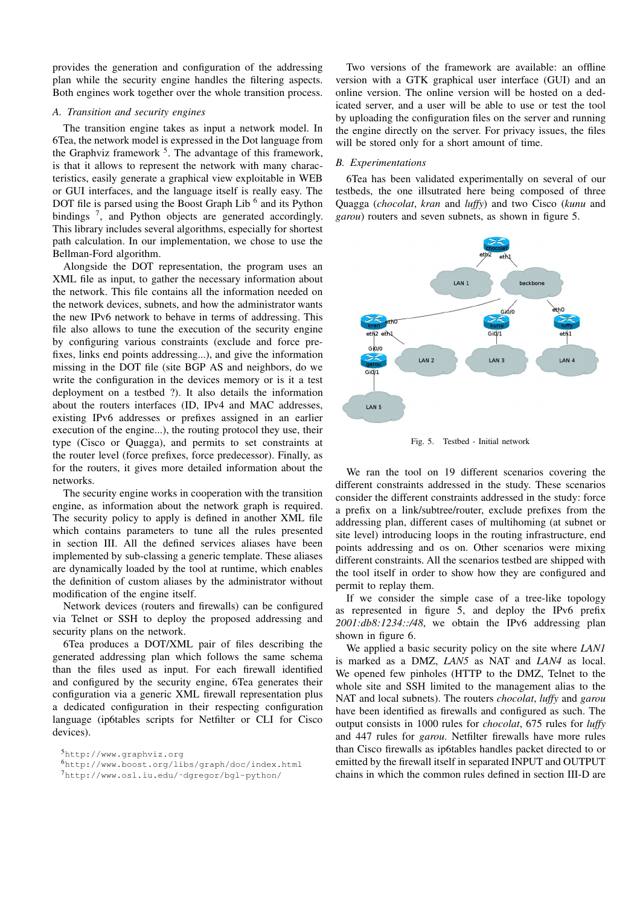provides the generation and configuration of the addressing plan while the security engine handles the filtering aspects. Both engines work together over the whole transition process.

#### *A. Transition and security engines*

The transition engine takes as input a network model. In 6Tea, the network model is expressed in the Dot language from the Graphviz framework  $5$ . The advantage of this framework, is that it allows to represent the network with many characteristics, easily generate a graphical view exploitable in WEB or GUI interfaces, and the language itself is really easy. The DOT file is parsed using the Boost Graph Lib<sup>6</sup> and its Python bindings<sup>7</sup>, and Python objects are generated accordingly. This library includes several algorithms, especially for shortest path calculation. In our implementation, we chose to use the Bellman-Ford algorithm.

Alongside the DOT representation, the program uses an XML file as input, to gather the necessary information about the network. This file contains all the information needed on the network devices, subnets, and how the administrator wants the new IPv6 network to behave in terms of addressing. This file also allows to tune the execution of the security engine by configuring various constraints (exclude and force prefixes, links end points addressing...), and give the information missing in the DOT file (site BGP AS and neighbors, do we write the configuration in the devices memory or is it a test deployment on a testbed ?). It also details the information about the routers interfaces (ID, IPv4 and MAC addresses, existing IPv6 addresses or prefixes assigned in an earlier execution of the engine...), the routing protocol they use, their type (Cisco or Quagga), and permits to set constraints at the router level (force prefixes, force predecessor). Finally, as for the routers, it gives more detailed information about the networks.

The security engine works in cooperation with the transition engine, as information about the network graph is required. The security policy to apply is defined in another XML file which contains parameters to tune all the rules presented in section III. All the defined services aliases have been implemented by sub-classing a generic template. These aliases are dynamically loaded by the tool at runtime, which enables the definition of custom aliases by the administrator without modification of the engine itself.

Network devices (routers and firewalls) can be configured via Telnet or SSH to deploy the proposed addressing and security plans on the network.

6Tea produces a DOT/XML pair of files describing the generated addressing plan which follows the same schema than the files used as input. For each firewall identified and configured by the security engine, 6Tea generates their configuration via a generic XML firewall representation plus a dedicated configuration in their respecting configuration language (ip6tables scripts for Netfilter or CLI for Cisco devices).

Two versions of the framework are available: an offline version with a GTK graphical user interface (GUI) and an online version. The online version will be hosted on a dedicated server, and a user will be able to use or test the tool by uploading the configuration files on the server and running the engine directly on the server. For privacy issues, the files will be stored only for a short amount of time.

#### *B. Experimentations*

6Tea has been validated experimentally on several of our testbeds, the one illsutrated here being composed of three Quagga (*chocolat*, *kran* and *luffy*) and two Cisco (*kunu* and *garou*) routers and seven subnets, as shown in figure 5.



Fig. 5. Testbed - Initial network

We ran the tool on 19 different scenarios covering the different constraints addressed in the study. These scenarios consider the different constraints addressed in the study: force a prefix on a link/subtree/router, exclude prefixes from the addressing plan, different cases of multihoming (at subnet or site level) introducing loops in the routing infrastructure, end points addressing and os on. Other scenarios were mixing different constraints. All the scenarios testbed are shipped with the tool itself in order to show how they are configured and permit to replay them.

If we consider the simple case of a tree-like topology as represented in figure 5, and deploy the IPv6 prefix *2001:db8:1234::/48*, we obtain the IPv6 addressing plan shown in figure 6.

We applied a basic security policy on the site where *LAN1* is marked as a DMZ, *LAN5* as NAT and *LAN4* as local. We opened few pinholes (HTTP to the DMZ, Telnet to the whole site and SSH limited to the management alias to the NAT and local subnets). The routers *chocolat*, *luffy* and *garou* have been identified as firewalls and configured as such. The output consists in 1000 rules for *chocolat*, 675 rules for *luffy* and 447 rules for *garou*. Netfilter firewalls have more rules than Cisco firewalls as ip6tables handles packet directed to or emitted by the firewall itself in separated INPUT and OUTPUT chains in which the common rules defined in section III-D are

<sup>5</sup>http://www.graphviz.org

<sup>6</sup>http://www.boost.org/libs/graph/doc/index.html

<sup>7</sup>http://www.osl.iu.edu/˜dgregor/bgl-python/